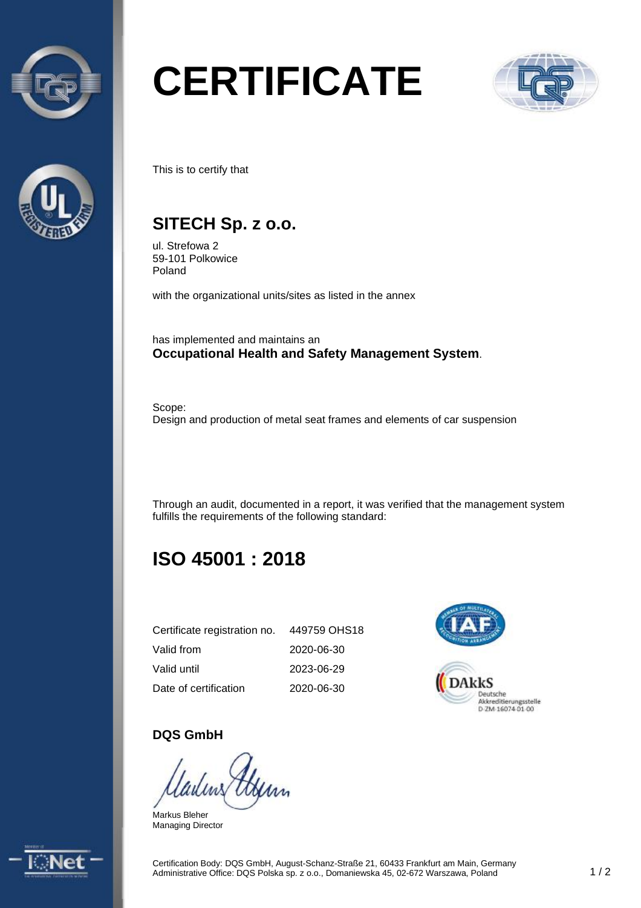



# **CERTIFICATE**



This is to certify that

## **SITECH Sp. z o.o.**

ul. Strefowa 2 59-101 Polkowice Poland

with the organizational units/sites as listed in the annex

has implemented and maintains an **Occupational Health and Safety Management System**.

Scope: Design and production of metal seat frames and elements of car suspension

Through an audit, documented in a report, it was verified that the management system fulfills the requirements of the following standard:

# **ISO 45001 : 2018**

| Certificate registration no. | 449759 OHS18 |
|------------------------------|--------------|
| Valid from                   | 2020-06-30   |
| Valid until                  | 2023-06-29   |
| Date of certification        | 2020-06-30   |



#### **DQS GmbH**

Markus Bleher Managing Director